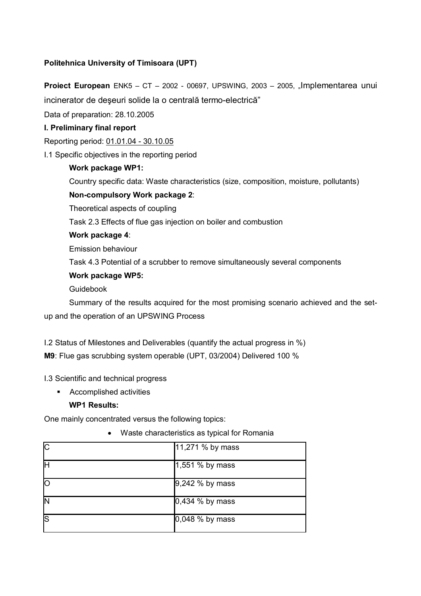# **Politehnica University of Timisoara (UPT)**

**Proiect European** ENK5 – CT – 2002 - 00697, UPSWING, 2003 – 2005, "Implementarea unui incinerator de deşeuri solide la o centrală termo-electrică" Data of preparation: 28.10.2005 **I. Preliminary final report**  Reporting period: 01.01.04 - 30.10.05 I.1 Specific objectives in the reporting period **Work package WP1:**  Country specific data: Waste characteristics (size, composition, moisture, pollutants) **Non-compulsory Work package 2**: Theoretical aspects of coupling Task 2.3 Effects of flue gas injection on boiler and combustion **Work package 4**: Emission behaviour Task 4.3 Potential of a scrubber to remove simultaneously several components **Work package WP5:**  Guidebook

Summary of the results acquired for the most promising scenario achieved and the setup and the operation of an UPSWING Process

I.2 Status of Milestones and Deliverables (quantify the actual progress in %) **M9**: Flue gas scrubbing system operable (UPT, 03/2004) Delivered 100 %

I.3 Scientific and technical progress

Accomplished activities

## **WP1 Results:**

One mainly concentrated versus the following topics:

• Waste characteristics as typical for Romania

| IС | $11,271%$ by mass             |
|----|-------------------------------|
|    | $\ 1,551\%$ by mass           |
|    | $\vert 9,242 \rangle$ by mass |
|    | $\vert 0,434 \rangle$ by mass |
|    | $\vert 0,048\ \%$ by mass     |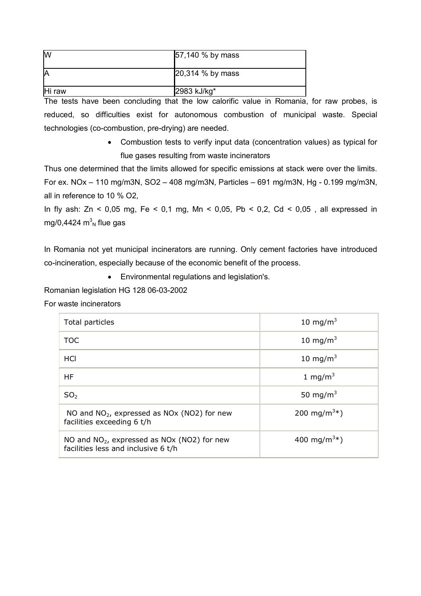| ΙW     | $\vert 57, 140 \rangle$ by mass   |
|--------|-----------------------------------|
|        | $\vert 20,314 \, \degree$ by mass |
| Hi raw | 2983 kJ/kg*                       |

The tests have been concluding that the low calorific value in Romania, for raw probes, is reduced, so difficulties exist for autonomous combustion of municipal waste. Special technologies (co-combustion, pre-drying) are needed.

> • Combustion tests to verify input data (concentration values) as typical for flue gases resulting from waste incinerators

Thus one determined that the limits allowed for specific emissions at stack were over the limits. For ex. NOx – 110 mg/m3N, SO2 – 408 mg/m3N, Particles – 691 mg/m3N, Hg - 0.199 mg/m3N, all in reference to 10 % O2,

In fly ash:  $Zn < 0.05$  mg,  $Fe < 0.1$  mg,  $Mn < 0.05$ ,  $Pb < 0.2$ ,  $Cd < 0.05$ , all expressed in mg/0,4424  $\textsf{m}^3\textsf{}_\textsf{N}$  flue gas

In Romania not yet municipal incinerators are running. Only cement factories have introduced co-incineration, especially because of the economic benefit of the process.

• Environmental regulations and legislation's.

Romanian legislation HG 128 06-03-2002

For waste incinerators

| Total particles                                                                      | 10 mg/m $3$              |
|--------------------------------------------------------------------------------------|--------------------------|
| <b>TOC</b>                                                                           | 10 mg/m <sup>3</sup>     |
| HCI                                                                                  | 10 mg/m <sup>3</sup>     |
| <b>HF</b>                                                                            | 1 mg/m <sup>3</sup>      |
| SO <sub>2</sub>                                                                      | 50 mg/m <sup>3</sup>     |
| NO and $NO2$ , expressed as $NOx$ (NO2) for new<br>facilities exceeding 6 t/h        | 200 mg/m <sup>3*</sup> ) |
| NO and $NO2$ , expressed as NOx (NO2) for new<br>facilities less and inclusive 6 t/h | 400 mg/m <sup>3*</sup> ) |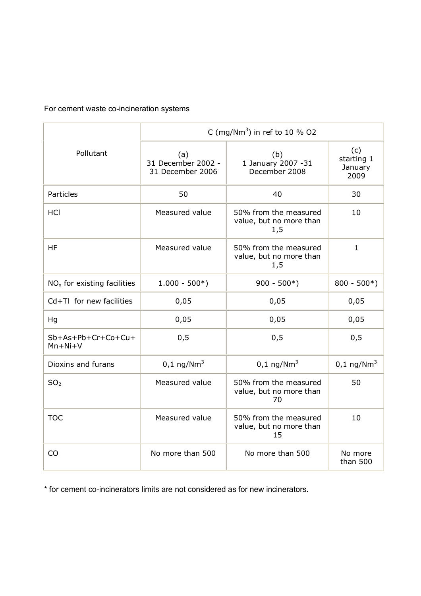For cement waste co-incineration systems

|                                     | C (mg/Nm <sup>3</sup> ) in ref to 10 % O2     |                                                         |                                      |  |  |
|-------------------------------------|-----------------------------------------------|---------------------------------------------------------|--------------------------------------|--|--|
| Pollutant                           | (a)<br>31 December 2002 -<br>31 December 2006 | (b)<br>1 January 2007 - 31<br>December 2008             | (c)<br>starting 1<br>January<br>2009 |  |  |
| Particles                           | 50                                            | 40                                                      | 30                                   |  |  |
| <b>HCI</b>                          | Measured value                                | 50% from the measured<br>value, but no more than<br>1,5 | 10                                   |  |  |
| <b>HF</b>                           | Measured value                                | 50% from the measured<br>value, but no more than<br>1,5 | $\mathbf{1}$                         |  |  |
| $NOx$ for existing facilities       | $1.000 - 500*)$                               | $900 - 500*)$                                           | $800 - 500*)$                        |  |  |
| Cd+Tl for new facilities            | 0,05                                          | 0,05                                                    | 0,05                                 |  |  |
| Hg                                  | 0,05                                          | 0,05                                                    | 0,05                                 |  |  |
| Sb+As+Pb+Cr+Co+Cu+<br>$Mn + Ni + V$ | 0,5                                           | 0,5                                                     | 0,5                                  |  |  |
| Dioxins and furans                  | $0,1 \text{ ng}/\text{Nm}^3$                  | $0,1 \text{ ng}/\text{Nm}^3$                            | $0,1 \text{ ng}/\text{Nm}^3$         |  |  |
| SO <sub>2</sub>                     | Measured value                                | 50% from the measured<br>value, but no more than<br>70  | 50                                   |  |  |
| <b>TOC</b>                          | Measured value                                | 50% from the measured<br>value, but no more than<br>15  | 10                                   |  |  |
| CO                                  | No more than 500                              | No more than 500                                        | No more<br>than 500                  |  |  |

\* for cement co-incinerators limits are not considered as for new incinerators.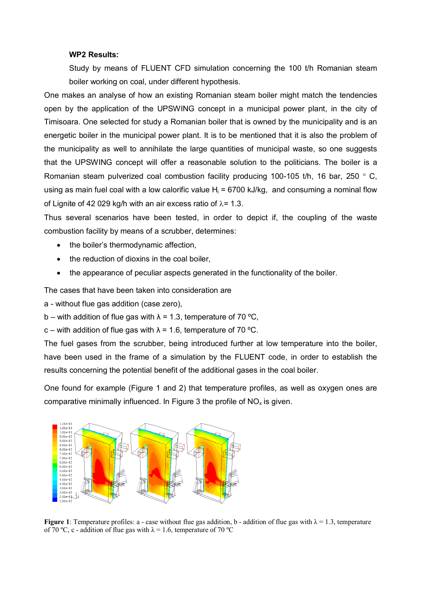#### **WP2 Results:**

Study by means of FLUENT CFD simulation concerning the 100 t/h Romanian steam boiler working on coal, under different hypothesis.

One makes an analyse of how an existing Romanian steam boiler might match the tendencies open by the application of the UPSWING concept in a municipal power plant, in the city of Timisoara. One selected for study a Romanian boiler that is owned by the municipality and is an energetic boiler in the municipal power plant. It is to be mentioned that it is also the problem of the municipality as well to annihilate the large quantities of municipal waste, so one suggests that the UPSWING concept will offer a reasonable solution to the politicians. The boiler is a Romanian steam pulverized coal combustion facility producing 100-105 t/h, 16 bar, 250  $\degree$  C, using as main fuel coal with a low calorific value  $H<sub>i</sub> = 6700$  kJ/kg, and consuming a nominal flow of Lignite of 42 029 kg/h with an air excess ratio of  $\lambda$ = 1.3.

Thus several scenarios have been tested, in order to depict if, the coupling of the waste combustion facility by means of a scrubber, determines:

- the boiler's thermodynamic affection,
- the reduction of dioxins in the coal boiler.
- the appearance of peculiar aspects generated in the functionality of the boiler.

The cases that have been taken into consideration are

a - without flue gas addition (case zero),

b – with addition of flue gas with  $\lambda = 1.3$ , temperature of 70 °C,

c – with addition of flue gas with  $\lambda = 1.6$ , temperature of 70 °C.

The fuel gases from the scrubber, being introduced further at low temperature into the boiler, have been used in the frame of a simulation by the FLUENT code, in order to establish the results concerning the potential benefit of the additional gases in the coal boiler.

One found for example (Figure 1 and 2) that temperature profiles, as well as oxygen ones are comparative minimally influenced. In Figure 3 the profile of  $NO<sub>x</sub>$  is given.



**Figure 1**: Temperature profiles: a - case without flue gas addition, b - addition of flue gas with  $\lambda = 1.3$ , temperature of 70 °C, c - addition of flue gas with  $\lambda = 1.6$ , temperature of 70 °C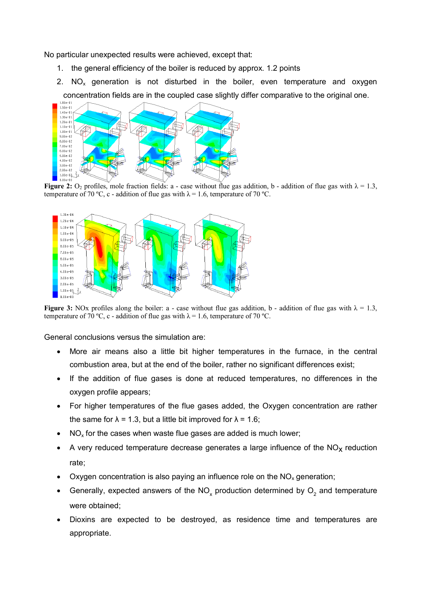No particular unexpected results were achieved, except that:

- 1. the general efficiency of the boiler is reduced by approx. 1.2 points
- 2.  $NO<sub>x</sub>$  generation is not disturbed in the boiler, even temperature and oxygen concentration fields are in the coupled case slightly differ comparative to the original one.



**Figure 2:** O<sub>2</sub> profiles, mole fraction fields: a - case without flue gas addition, b - addition of flue gas with  $\lambda = 1.3$ , temperature of 70 °C, c - addition of flue gas with  $\lambda = 1.6$ , temperature of 70 °C.



**Figure 3:** NOx profiles along the boiler: a - case without flue gas addition, b - addition of flue gas with  $\lambda = 1.3$ , temperature of 70 °C, c - addition of flue gas with  $\lambda = 1.6$ , temperature of 70 °C.

General conclusions versus the simulation are:

- More air means also a little bit higher temperatures in the furnace, in the central combustion area, but at the end of the boiler, rather no significant differences exist;
- If the addition of flue gases is done at reduced temperatures, no differences in the oxygen profile appears;
- For higher temperatures of the flue gases added, the Oxygen concentration are rather the same for  $\lambda = 1.3$ , but a little bit improved for  $\lambda = 1.6$ ;
- $NO<sub>x</sub>$  for the cases when waste flue gases are added is much lower;
- A very reduced temperature decrease generates a large influence of the  $NO<sub>x</sub>$  reduction rate;
- Oxygen concentration is also paying an influence role on the  $NO<sub>x</sub>$  generation;
- Generally, expected answers of the NO<sub>x</sub> production determined by  $O_2$  and temperature were obtained;
- Dioxins are expected to be destroyed, as residence time and temperatures are appropriate.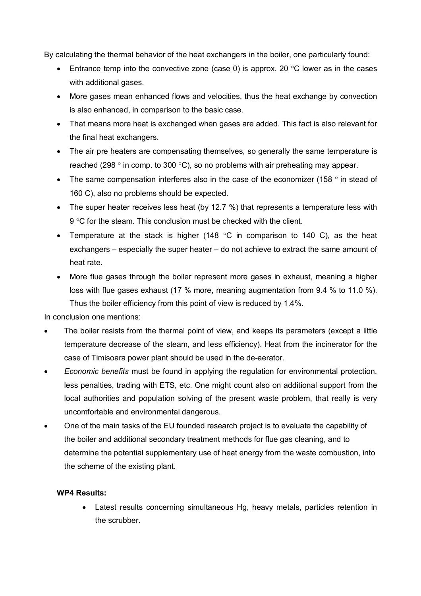By calculating the thermal behavior of the heat exchangers in the boiler, one particularly found:

- Entrance temp into the convective zone (case 0) is approx. 20  $\degree$ C lower as in the cases with additional gases.
- More gases mean enhanced flows and velocities, thus the heat exchange by convection is also enhanced, in comparison to the basic case.
- That means more heat is exchanged when gases are added. This fact is also relevant for the final heat exchangers.
- The air pre heaters are compensating themselves, so generally the same temperature is reached (298 ° in comp. to 300 °C), so no problems with air preheating may appear.
- The same compensation interferes also in the case of the economizer (158  $\degree$  in stead of 160 C), also no problems should be expected.
- The super heater receives less heat (by 12.7 %) that represents a temperature less with 9 °C for the steam. This conclusion must be checked with the client.
- Temperature at the stack is higher (148  $\degree$ C in comparison to 140 C), as the heat exchangers – especially the super heater – do not achieve to extract the same amount of heat rate.
- More flue gases through the boiler represent more gases in exhaust, meaning a higher loss with flue gases exhaust (17 % more, meaning augmentation from 9.4 % to 11.0 %). Thus the boiler efficiency from this point of view is reduced by 1.4%.

In conclusion one mentions:

- The boiler resists from the thermal point of view, and keeps its parameters (except a little temperature decrease of the steam, and less efficiency). Heat from the incinerator for the case of Timisoara power plant should be used in the de-aerator.
- *Economic benefits* must be found in applying the regulation for environmental protection, less penalties, trading with ETS, etc. One might count also on additional support from the local authorities and population solving of the present waste problem, that really is very uncomfortable and environmental dangerous.
- One of the main tasks of the EU founded research project is to evaluate the capability of the boiler and additional secondary treatment methods for flue gas cleaning, and to determine the potential supplementary use of heat energy from the waste combustion, into the scheme of the existing plant.

### **WP4 Results:**

Latest results concerning simultaneous Hg, heavy metals, particles retention in the scrubber.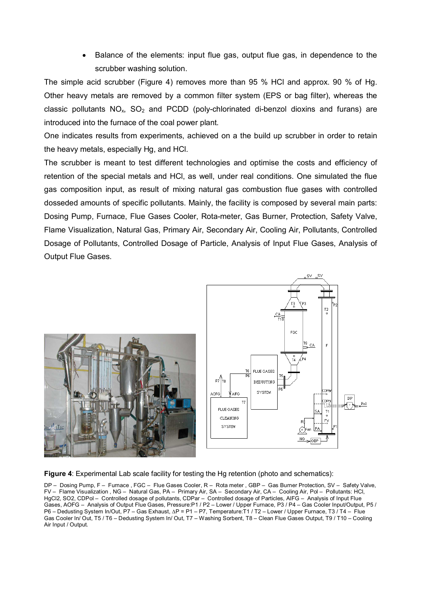• Balance of the elements: input flue gas, output flue gas, in dependence to the scrubber washing solution.

The simple acid scrubber (Figure 4) removes more than 95 % HCl and approx. 90 % of Hg. Other heavy metals are removed by a common filter system (EPS or bag filter), whereas the classic pollutants  $NO_x$ ,  $SO_2$  and PCDD (poly-chlorinated di-benzol dioxins and furans) are introduced into the furnace of the coal power plant.

One indicates results from experiments, achieved on a the build up scrubber in order to retain the heavy metals, especially Hg, and HCl.

The scrubber is meant to test different technologies and optimise the costs and efficiency of retention of the special metals and HCl, as well, under real conditions. One simulated the flue gas composition input, as result of mixing natural gas combustion flue gases with controlled dosseded amounts of specific pollutants. Mainly, the facility is composed by several main parts: Dosing Pump, Furnace, Flue Gases Cooler, Rota-meter, Gas Burner, Protection, Safety Valve, Flame Visualization, Natural Gas, Primary Air, Secondary Air, Cooling Air, Pollutants, Controlled Dosage of Pollutants, Controlled Dosage of Particle, Analysis of Input Flue Gases, Analysis of Output Flue Gases.





**Figure 4**: Experimental Lab scale facility for testing the Hg retention (photo and schematics):

DP – Dosing Pump, F – Furnace , FGC – Flue Gases Cooler, R – Rota meter , GBP – Gas Burner Protection, SV – Safety Valve, FV – Flame Visualization , NG – Natural Gas, PA – Primary Air, SA – Secondary Air, CA – Cooling Air, Pol – Pollutants: HCl, HgCl2, SO2, CDPol – Controlled dosage of pollutants, CDPar – Controlled dosage of Particles, AIFG – Analysis of Input Flue Gases, AOFG – Analysis of Output Flue Gases, Pressure:P1 / P2 – Lower / Upper Furnace, P3 / P4 – Gas Cooler Input/Output, P5 / P6 – Dedusting System In/Out, P7 – Gas Exhaust, ∆P = P1 – P7, Temperature:T1 / T2 – Lower / Upper Furnace, T3 / T4 – Flue Gas Cooler In/ Out, T5 / T6 – Dedusting System In/ Out, T7 – Washing Sorbent, T8 – Clean Flue Gases Output, T9 / T10 – Cooling Air Input / Output.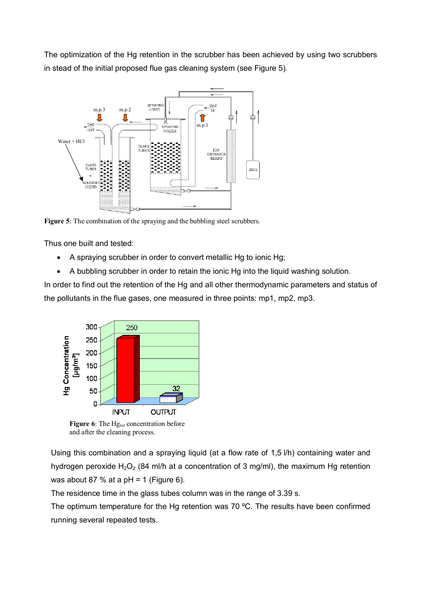The optimization of the Hg retention in the scrubber has been achieved by using two scrubbers in stead of the initial proposed flue gas cleaning system (see Figure 5).



**Figure 5**: The combination of the spraying and the bubbling steel scrubbers.

Thus one built and tested:

- A spraying scrubber in order to convert metallic Hg to ionic Hg;
- A bubbling scrubber in order to retain the ionic Hg into the liquid washing solution.

In order to find out the retention of the Hg and all other thermodynamic parameters and status of the pollutants in the flue gases, one measured in three points: mp1, mp2, mp3.



Figure 6: The Hg<sub>tot</sub> concentration before and after the cleaning process.

Using this combination and a spraying liquid (at a flow rate of 1,5 l/h) containing water and hydrogen peroxide  $H_2O_2$  (84 ml/h at a concentration of 3 mg/ml), the maximum Hg retention was about 87 % at a  $pH = 1$  (Figure 6).

The residence time in the glass tubes column was in the range of 3.39 s.

The optimum temperature for the Hg retention was 70 ºC. The results have been confirmed running several repeated tests.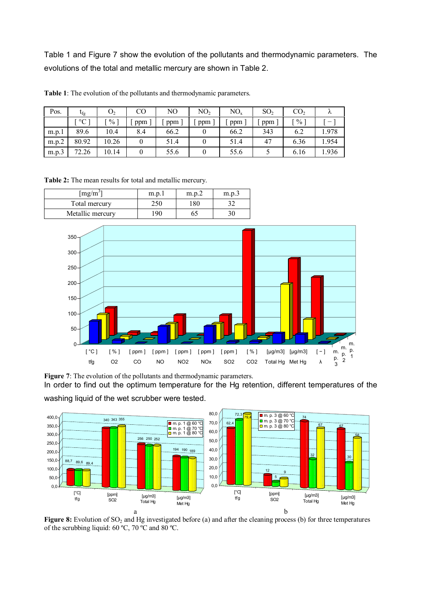Table 1 and Figure 7 show the evolution of the pollutants and thermodynamic parameters. The evolutions of the total and metallic mercury are shown in Table 2.

| Pos.  | $t_{\rm fg}$        | $\mathrm{O}_2$ | CO  | NO   | NO <sub>2</sub> | NO <sub>x</sub> | SO <sub>2</sub> | CO <sub>2</sub> | $\sim$ |
|-------|---------------------|----------------|-----|------|-----------------|-----------------|-----------------|-----------------|--------|
|       | $\circ$ $\cap$<br>◡ | $\%$           | ppm | ppm  | ppm             | ppm             | ppm             | $\frac{0}{0}$   |        |
| m.p.1 | 89.6                | 10.4           | 8.4 | 66.2 |                 | 66.2            | 343             | 6.2             | 1.978  |
| m.p.2 | 80.92               | 10.26          | 0   | 51.4 |                 | 51.4            | 47              | 6.36            | 1.954  |
| m.p.3 | 72.26               | 10.14          | 0   | 55.6 |                 | 55.6            |                 | 6.16            | 1.936  |

**Table 1**: The evolution of the pollutants and thermodynamic parameters.

**Table 2:** The mean results for total and metallic mercury.

| $mg/m^{31}$      | m.p. | m.p.2 | m.p.3 |
|------------------|------|-------|-------|
| Total mercury    | 250  | 180   |       |
| Metallic mercury | 190. |       |       |



**Figure 7**: The evolution of the pollutants and thermodynamic parameters.

In order to find out the optimum temperature for the Hg retention, different temperatures of the washing liquid of the wet scrubber were tested.



**Figure 8:** Evolution of SO<sub>2</sub> and Hg investigated before (a) and after the cleaning process (b) for three temperatures of the scrubbing liquid: 60 ºC, 70 ºC and 80 ºC.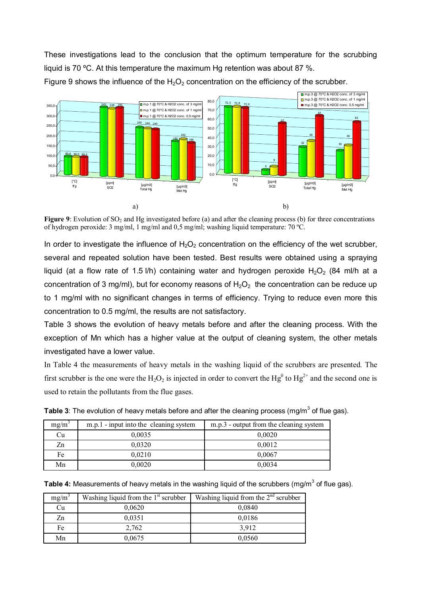These investigations lead to the conclusion that the optimum temperature for the scrubbing liquid is 70 °C. At this temperature the maximum Hg retention was about 87  $\%$ .



Figure 9 shows the influence of the  $H_2O_2$  concentration on the efficiency of the scrubber.

Figure 9: Evolution of SO<sub>2</sub> and Hg investigated before (a) and after the cleaning process (b) for three concentrations of hydrogen peroxide: 3 mg/ml, 1 mg/ml and 0,5 mg/ml; washing liquid temperature: 70 ºC.

In order to investigate the influence of  $H_2O_2$  concentration on the efficiency of the wet scrubber, several and repeated solution have been tested. Best results were obtained using a spraying liquid (at a flow rate of 1.5 l/h) containing water and hydrogen peroxide  $H_2O_2$  (84 ml/h at a concentration of 3 mg/ml), but for economy reasons of  $H_2O_2$  the concentration can be reduce up to 1 mg/ml with no significant changes in terms of efficiency. Trying to reduce even more this concentration to 0.5 mg/ml, the results are not satisfactory.

Table 3 shows the evolution of heavy metals before and after the cleaning process. With the exception of Mn which has a higher value at the output of cleaning system, the other metals investigated have a lower value.

In Table 4 the measurements of heavy metals in the washing liquid of the scrubbers are presented. The first scrubber is the one were the  $H_2O_2$  is injected in order to convert the  $Hg^0$  to  $Hg^{2+}$  and the second one is used to retain the pollutants from the flue gases.

| $mg/m^3$ | m.p.1 - input into the cleaning system | m.p.3 - output from the cleaning system |
|----------|----------------------------------------|-----------------------------------------|
| ∪u       | 0,0035                                 | 0,0020                                  |
| Zn       | 0.0320                                 | 0,0012                                  |
| Fe       | 0,0210                                 | 0,0067                                  |
| Mn       | 0,0020                                 | 0,0034                                  |

**Table 3**: The evolution of heavy metals before and after the cleaning process (mg/m<sup>3</sup> of flue gas).

| Table 4: Measurements of heavy metals in the washing liquid of the scrubbers (mg/m <sup>3</sup> of flue gas). |  |  |
|---------------------------------------------------------------------------------------------------------------|--|--|
|                                                                                                               |  |  |

| $mg/m^3$ | Washing liquid from the $1st$ scrubber | Washing liquid from the $2nd$ scrubber |
|----------|----------------------------------------|----------------------------------------|
| Cu       | 0,0620                                 | 0.0840                                 |
| Zn       | 0,0351                                 | 0,0186                                 |
| Fe       | 2.762                                  | 3.912                                  |
| Mn       | 0,0675                                 | 0,0560                                 |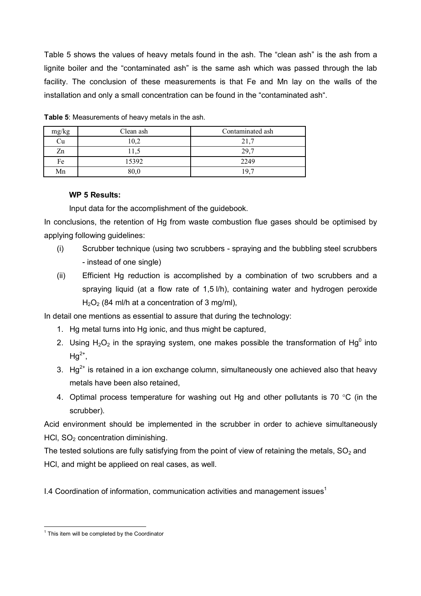Table 5 shows the values of heavy metals found in the ash. The "clean ash" is the ash from a lignite boiler and the "contaminated ash" is the same ash which was passed through the lab facility. The conclusion of these measurements is that Fe and Mn lay on the walls of the installation and only a small concentration can be found in the "contaminated ash".

| mg/kg | Clean ash | Contaminated ash |
|-------|-----------|------------------|
| ∪u    | 10,2      | 21.              |
| Zn    | 1,5       | 29,7             |
| Fe    | 15392     | 2249             |
| Mn    | 80,0      | 19.7             |

**Table 5**: Measurements of heavy metals in the ash.

### **WP 5 Results:**

Input data for the accomplishment of the guidebook.

In conclusions, the retention of Hg from waste combustion flue gases should be optimised by applying following guidelines:

- (i) Scrubber technique (using two scrubbers spraying and the bubbling steel scrubbers - instead of one single)
- (ii) Efficient Hg reduction is accomplished by a combination of two scrubbers and a spraying liquid (at a flow rate of 1,5 l/h), containing water and hydrogen peroxide  $H<sub>2</sub>O<sub>2</sub>$  (84 ml/h at a concentration of 3 mg/ml),

In detail one mentions as essential to assure that during the technology:

- 1. Hg metal turns into Hg ionic, and thus might be captured,
- 2. Using  $H_2O_2$  in the spraying system, one makes possible the transformation of Hg<sup>0</sup> into  $Ha^{2+}$
- 3.  $Hg^{2+}$  is retained in a ion exchange column, simultaneously one achieved also that heavy metals have been also retained,
- 4. Optimal process temperature for washing out Hg and other pollutants is 70 °C (in the scrubber).

Acid environment should be implemented in the scrubber in order to achieve simultaneously HCl,  $SO<sub>2</sub>$  concentration diminishing.

The tested solutions are fully satisfying from the point of view of retaining the metals,  $SO<sub>2</sub>$  and HCl, and might be applieed on real cases, as well.

I.4 Coordination of information, communication activities and management issues<sup>1</sup>

 $\overline{a}$  $1$  This item will be completed by the Coordinator